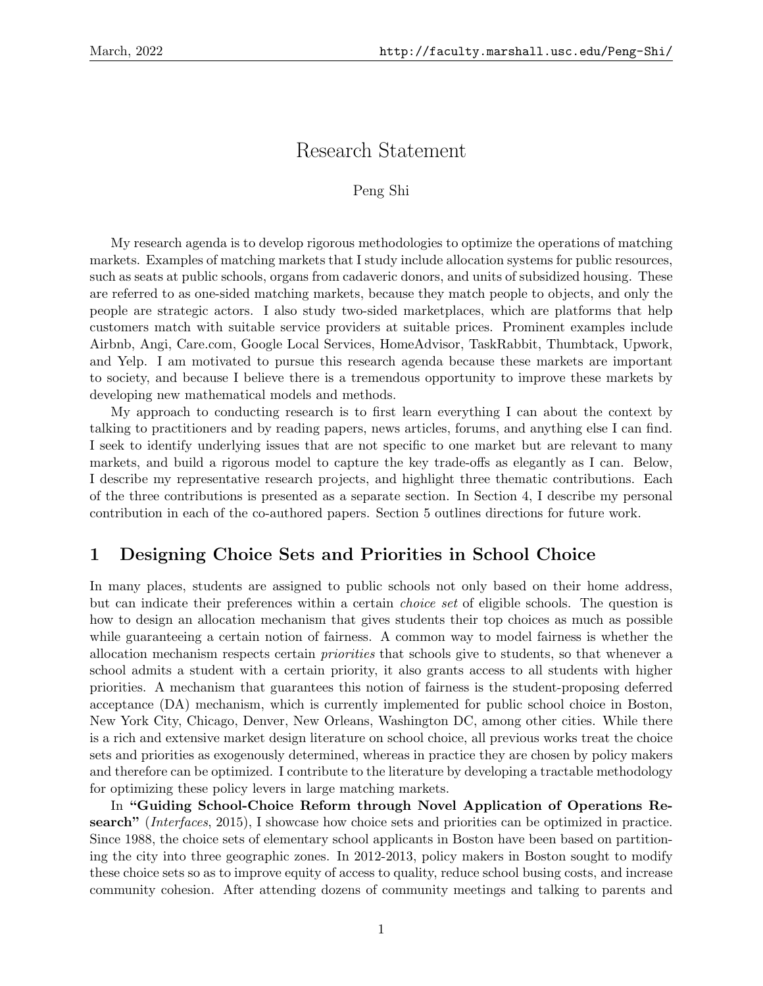# Research Statement

#### Peng Shi

My research agenda is to develop rigorous methodologies to optimize the operations of matching markets. Examples of matching markets that I study include allocation systems for public resources, such as seats at public schools, organs from cadaveric donors, and units of subsidized housing. These are referred to as one-sided matching markets, because they match people to objects, and only the people are strategic actors. I also study two-sided marketplaces, which are platforms that help customers match with suitable service providers at suitable prices. Prominent examples include Airbnb, Angi, Care.com, Google Local Services, HomeAdvisor, TaskRabbit, Thumbtack, Upwork, and Yelp. I am motivated to pursue this research agenda because these markets are important to society, and because I believe there is a tremendous opportunity to improve these markets by developing new mathematical models and methods.

My approach to conducting research is to first learn everything I can about the context by talking to practitioners and by reading papers, news articles, forums, and anything else I can find. I seek to identify underlying issues that are not specific to one market but are relevant to many markets, and build a rigorous model to capture the key trade-offs as elegantly as I can. Below, I describe my representative research projects, and highlight three thematic contributions. Each of the three contributions is presented as a separate section. In Section 4, I describe my personal contribution in each of the co-authored papers. Section 5 outlines directions for future work.

### 1 Designing Choice Sets and Priorities in School Choice

In many places, students are assigned to public schools not only based on their home address, but can indicate their preferences within a certain choice set of eligible schools. The question is how to design an allocation mechanism that gives students their top choices as much as possible while guaranteeing a certain notion of fairness. A common way to model fairness is whether the allocation mechanism respects certain priorities that schools give to students, so that whenever a school admits a student with a certain priority, it also grants access to all students with higher priorities. A mechanism that guarantees this notion of fairness is the student-proposing deferred acceptance (DA) mechanism, which is currently implemented for public school choice in Boston, New York City, Chicago, Denver, New Orleans, Washington DC, among other cities. While there is a rich and extensive market design literature on school choice, all previous works treat the choice sets and priorities as exogenously determined, whereas in practice they are chosen by policy makers and therefore can be optimized. I contribute to the literature by developing a tractable methodology for optimizing these policy levers in large matching markets.

In "Guiding School-Choice Reform through Novel Application of Operations Research" (Interfaces, 2015), I showcase how choice sets and priorities can be optimized in practice. Since 1988, the choice sets of elementary school applicants in Boston have been based on partitioning the city into three geographic zones. In 2012-2013, policy makers in Boston sought to modify these choice sets so as to improve equity of access to quality, reduce school busing costs, and increase community cohesion. After attending dozens of community meetings and talking to parents and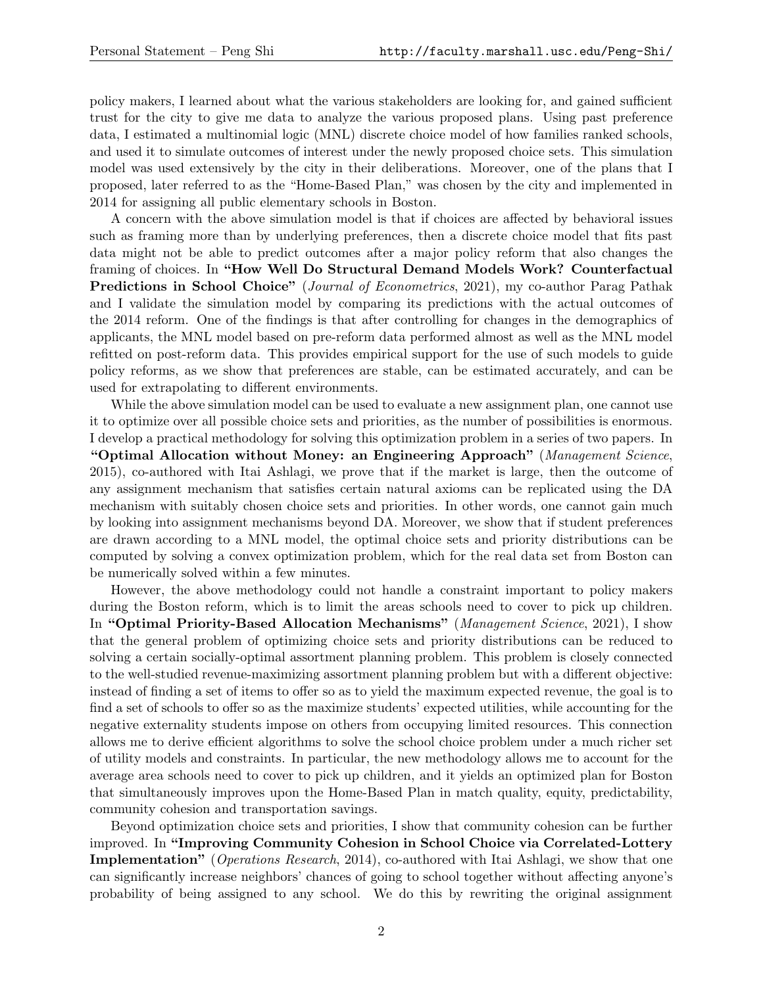policy makers, I learned about what the various stakeholders are looking for, and gained sufficient trust for the city to give me data to analyze the various proposed plans. Using past preference data, I estimated a multinomial logic (MNL) discrete choice model of how families ranked schools, and used it to simulate outcomes of interest under the newly proposed choice sets. This simulation model was used extensively by the city in their deliberations. Moreover, one of the plans that I proposed, later referred to as the "Home-Based Plan," was chosen by the city and implemented in 2014 for assigning all public elementary schools in Boston.

A concern with the above simulation model is that if choices are affected by behavioral issues such as framing more than by underlying preferences, then a discrete choice model that fits past data might not be able to predict outcomes after a major policy reform that also changes the framing of choices. In "How Well Do Structural Demand Models Work? Counterfactual Predictions in School Choice" (Journal of Econometrics, 2021), my co-author Parag Pathak and I validate the simulation model by comparing its predictions with the actual outcomes of the 2014 reform. One of the findings is that after controlling for changes in the demographics of applicants, the MNL model based on pre-reform data performed almost as well as the MNL model refitted on post-reform data. This provides empirical support for the use of such models to guide policy reforms, as we show that preferences are stable, can be estimated accurately, and can be used for extrapolating to different environments.

While the above simulation model can be used to evaluate a new assignment plan, one cannot use it to optimize over all possible choice sets and priorities, as the number of possibilities is enormous. I develop a practical methodology for solving this optimization problem in a series of two papers. In "Optimal Allocation without Money: an Engineering Approach" (Management Science, 2015), co-authored with Itai Ashlagi, we prove that if the market is large, then the outcome of any assignment mechanism that satisfies certain natural axioms can be replicated using the DA mechanism with suitably chosen choice sets and priorities. In other words, one cannot gain much by looking into assignment mechanisms beyond DA. Moreover, we show that if student preferences are drawn according to a MNL model, the optimal choice sets and priority distributions can be computed by solving a convex optimization problem, which for the real data set from Boston can be numerically solved within a few minutes.

However, the above methodology could not handle a constraint important to policy makers during the Boston reform, which is to limit the areas schools need to cover to pick up children. In "Optimal Priority-Based Allocation Mechanisms" (Management Science, 2021), I show that the general problem of optimizing choice sets and priority distributions can be reduced to solving a certain socially-optimal assortment planning problem. This problem is closely connected to the well-studied revenue-maximizing assortment planning problem but with a different objective: instead of finding a set of items to offer so as to yield the maximum expected revenue, the goal is to find a set of schools to offer so as the maximize students' expected utilities, while accounting for the negative externality students impose on others from occupying limited resources. This connection allows me to derive efficient algorithms to solve the school choice problem under a much richer set of utility models and constraints. In particular, the new methodology allows me to account for the average area schools need to cover to pick up children, and it yields an optimized plan for Boston that simultaneously improves upon the Home-Based Plan in match quality, equity, predictability, community cohesion and transportation savings.

Beyond optimization choice sets and priorities, I show that community cohesion can be further improved. In "Improving Community Cohesion in School Choice via Correlated-Lottery Implementation" (*Operations Research*, 2014), co-authored with Itai Ashlagi, we show that one can significantly increase neighbors' chances of going to school together without affecting anyone's probability of being assigned to any school. We do this by rewriting the original assignment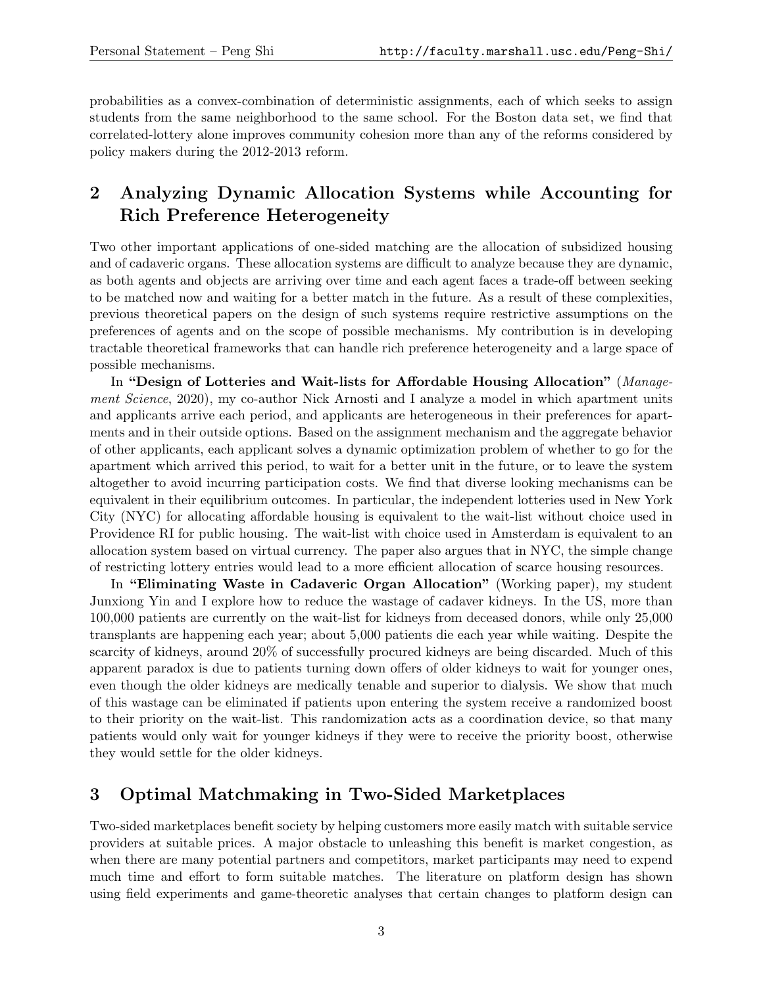probabilities as a convex-combination of deterministic assignments, each of which seeks to assign students from the same neighborhood to the same school. For the Boston data set, we find that correlated-lottery alone improves community cohesion more than any of the reforms considered by policy makers during the 2012-2013 reform.

## 2 Analyzing Dynamic Allocation Systems while Accounting for Rich Preference Heterogeneity

Two other important applications of one-sided matching are the allocation of subsidized housing and of cadaveric organs. These allocation systems are difficult to analyze because they are dynamic, as both agents and objects are arriving over time and each agent faces a trade-off between seeking to be matched now and waiting for a better match in the future. As a result of these complexities, previous theoretical papers on the design of such systems require restrictive assumptions on the preferences of agents and on the scope of possible mechanisms. My contribution is in developing tractable theoretical frameworks that can handle rich preference heterogeneity and a large space of possible mechanisms.

In "Design of Lotteries and Wait-lists for Affordable Housing Allocation" (Management Science, 2020), my co-author Nick Arnosti and I analyze a model in which apartment units and applicants arrive each period, and applicants are heterogeneous in their preferences for apartments and in their outside options. Based on the assignment mechanism and the aggregate behavior of other applicants, each applicant solves a dynamic optimization problem of whether to go for the apartment which arrived this period, to wait for a better unit in the future, or to leave the system altogether to avoid incurring participation costs. We find that diverse looking mechanisms can be equivalent in their equilibrium outcomes. In particular, the independent lotteries used in New York City (NYC) for allocating affordable housing is equivalent to the wait-list without choice used in Providence RI for public housing. The wait-list with choice used in Amsterdam is equivalent to an allocation system based on virtual currency. The paper also argues that in NYC, the simple change of restricting lottery entries would lead to a more efficient allocation of scarce housing resources.

In "Eliminating Waste in Cadaveric Organ Allocation" (Working paper), my student Junxiong Yin and I explore how to reduce the wastage of cadaver kidneys. In the US, more than 100,000 patients are currently on the wait-list for kidneys from deceased donors, while only 25,000 transplants are happening each year; about 5,000 patients die each year while waiting. Despite the scarcity of kidneys, around 20% of successfully procured kidneys are being discarded. Much of this apparent paradox is due to patients turning down offers of older kidneys to wait for younger ones, even though the older kidneys are medically tenable and superior to dialysis. We show that much of this wastage can be eliminated if patients upon entering the system receive a randomized boost to their priority on the wait-list. This randomization acts as a coordination device, so that many patients would only wait for younger kidneys if they were to receive the priority boost, otherwise they would settle for the older kidneys.

#### 3 Optimal Matchmaking in Two-Sided Marketplaces

Two-sided marketplaces benefit society by helping customers more easily match with suitable service providers at suitable prices. A major obstacle to unleashing this benefit is market congestion, as when there are many potential partners and competitors, market participants may need to expend much time and effort to form suitable matches. The literature on platform design has shown using field experiments and game-theoretic analyses that certain changes to platform design can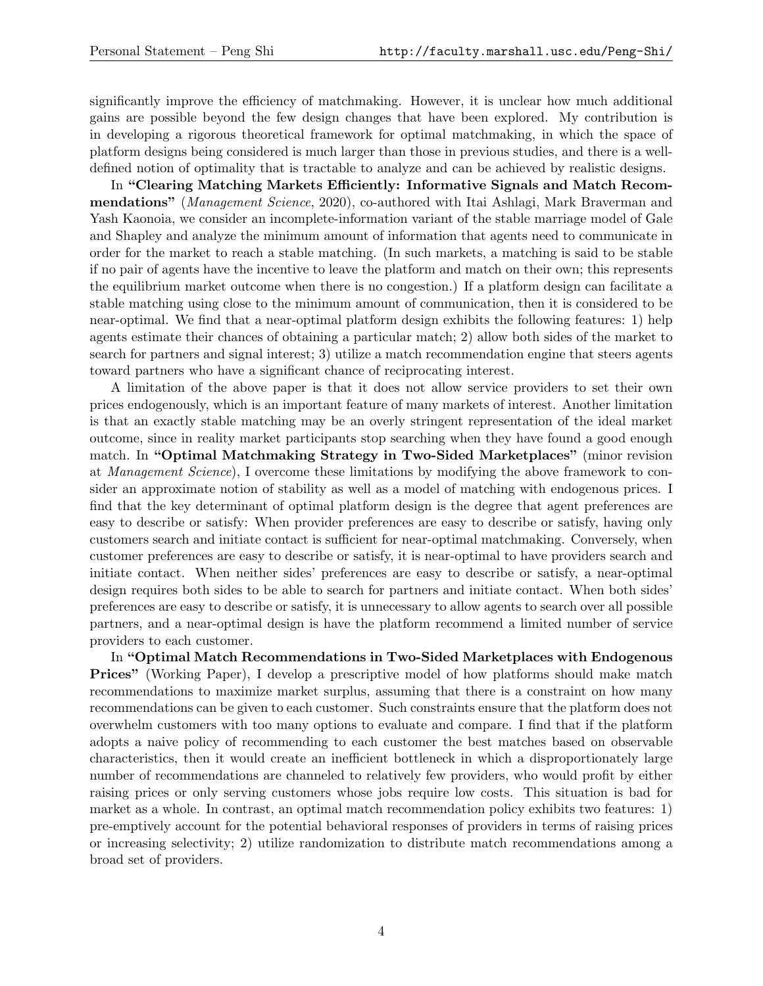significantly improve the efficiency of matchmaking. However, it is unclear how much additional gains are possible beyond the few design changes that have been explored. My contribution is in developing a rigorous theoretical framework for optimal matchmaking, in which the space of platform designs being considered is much larger than those in previous studies, and there is a welldefined notion of optimality that is tractable to analyze and can be achieved by realistic designs.

In "Clearing Matching Markets Efficiently: Informative Signals and Match Recommendations" (Management Science, 2020), co-authored with Itai Ashlagi, Mark Braverman and Yash Kaonoia, we consider an incomplete-information variant of the stable marriage model of Gale and Shapley and analyze the minimum amount of information that agents need to communicate in order for the market to reach a stable matching. (In such markets, a matching is said to be stable if no pair of agents have the incentive to leave the platform and match on their own; this represents the equilibrium market outcome when there is no congestion.) If a platform design can facilitate a stable matching using close to the minimum amount of communication, then it is considered to be near-optimal. We find that a near-optimal platform design exhibits the following features: 1) help agents estimate their chances of obtaining a particular match; 2) allow both sides of the market to search for partners and signal interest; 3) utilize a match recommendation engine that steers agents toward partners who have a significant chance of reciprocating interest.

A limitation of the above paper is that it does not allow service providers to set their own prices endogenously, which is an important feature of many markets of interest. Another limitation is that an exactly stable matching may be an overly stringent representation of the ideal market outcome, since in reality market participants stop searching when they have found a good enough match. In "Optimal Matchmaking Strategy in Two-Sided Marketplaces" (minor revision at Management Science), I overcome these limitations by modifying the above framework to consider an approximate notion of stability as well as a model of matching with endogenous prices. I find that the key determinant of optimal platform design is the degree that agent preferences are easy to describe or satisfy: When provider preferences are easy to describe or satisfy, having only customers search and initiate contact is sufficient for near-optimal matchmaking. Conversely, when customer preferences are easy to describe or satisfy, it is near-optimal to have providers search and initiate contact. When neither sides' preferences are easy to describe or satisfy, a near-optimal design requires both sides to be able to search for partners and initiate contact. When both sides' preferences are easy to describe or satisfy, it is unnecessary to allow agents to search over all possible partners, and a near-optimal design is have the platform recommend a limited number of service providers to each customer.

In "Optimal Match Recommendations in Two-Sided Marketplaces with Endogenous Prices" (Working Paper), I develop a prescriptive model of how platforms should make match recommendations to maximize market surplus, assuming that there is a constraint on how many recommendations can be given to each customer. Such constraints ensure that the platform does not overwhelm customers with too many options to evaluate and compare. I find that if the platform adopts a naive policy of recommending to each customer the best matches based on observable characteristics, then it would create an inefficient bottleneck in which a disproportionately large number of recommendations are channeled to relatively few providers, who would profit by either raising prices or only serving customers whose jobs require low costs. This situation is bad for market as a whole. In contrast, an optimal match recommendation policy exhibits two features: 1) pre-emptively account for the potential behavioral responses of providers in terms of raising prices or increasing selectivity; 2) utilize randomization to distribute match recommendations among a broad set of providers.